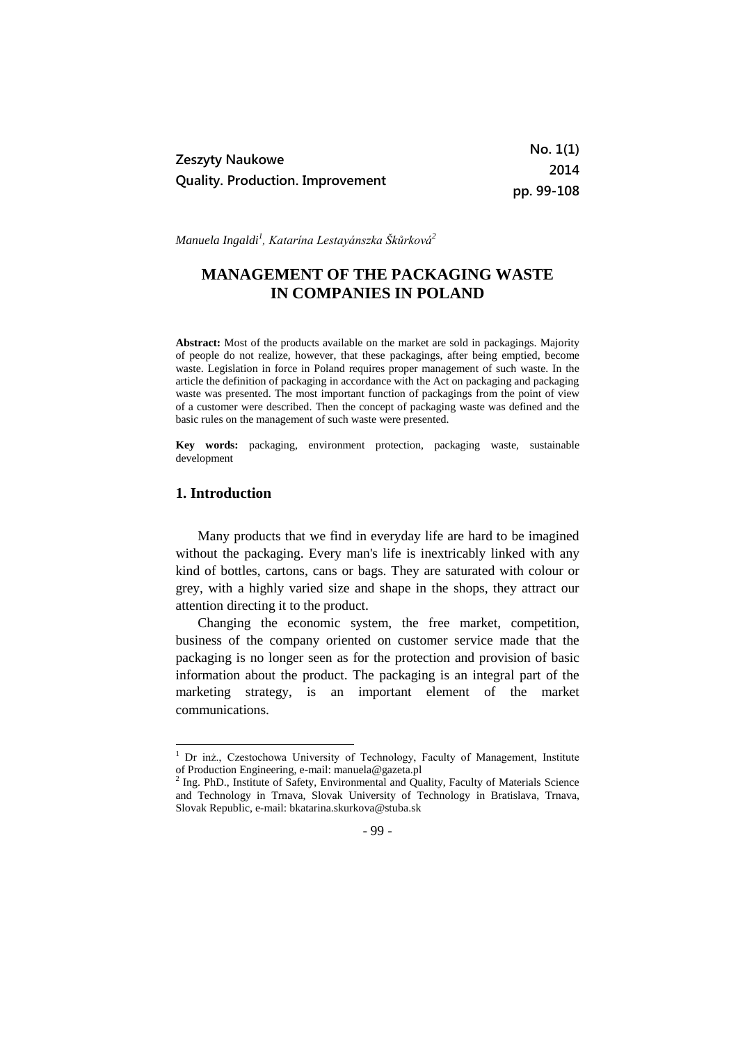|                                                            | No. 1(1)   |
|------------------------------------------------------------|------------|
| Zeszyty Naukowe<br><b>Quality. Production. Improvement</b> | 2014       |
|                                                            | pp. 99-108 |

*Manuela Ingaldi<sup>1</sup> , Katarína Lestayánszka Škůrková<sup>2</sup>*

# **MANAGEMENT OF THE PACKAGING WASTE IN COMPANIES IN POLAND**

**Abstract:** Most of the products available on the market are sold in packagings. Majority of people do not realize, however, that these packagings, after being emptied, become waste. Legislation in force in Poland requires proper management of such waste. In the article the definition of packaging in accordance with the Act on packaging and packaging waste was presented. The most important function of packagings from the point of view of a customer were described. Then the concept of packaging waste was defined and the basic rules on the management of such waste were presented.

**Key words:** packaging, environment protection, packaging waste, sustainable development

## **1. Introduction**

-

Many products that we find in everyday life are hard to be imagined without the packaging. Every man's life is inextricably linked with any kind of bottles, cartons, cans or bags. They are saturated with colour or grey, with a highly varied size and shape in the shops, they attract our attention directing it to the product.

Changing the economic system, the free market, competition, business of the company oriented on customer service made that the packaging is no longer seen as for the protection and provision of basic information about the product. The packaging is an integral part of the marketing strategy, is an important element of the market communications.

- 99 -

<sup>&</sup>lt;sup>1</sup> Dr inż., Czestochowa University of Technology, Faculty of Management, Institute of Production Engineering, e-mail: manuela@gazeta.pl

<sup>&</sup>lt;sup>2</sup> Ing. PhD., Institute of Safety, Environmental and Quality, Faculty of Materials Science and Technology in Trnava, Slovak University of Technology in Bratislava, Trnava, Slovak Republic, e-mail: bkatarina.skurkova@stuba.sk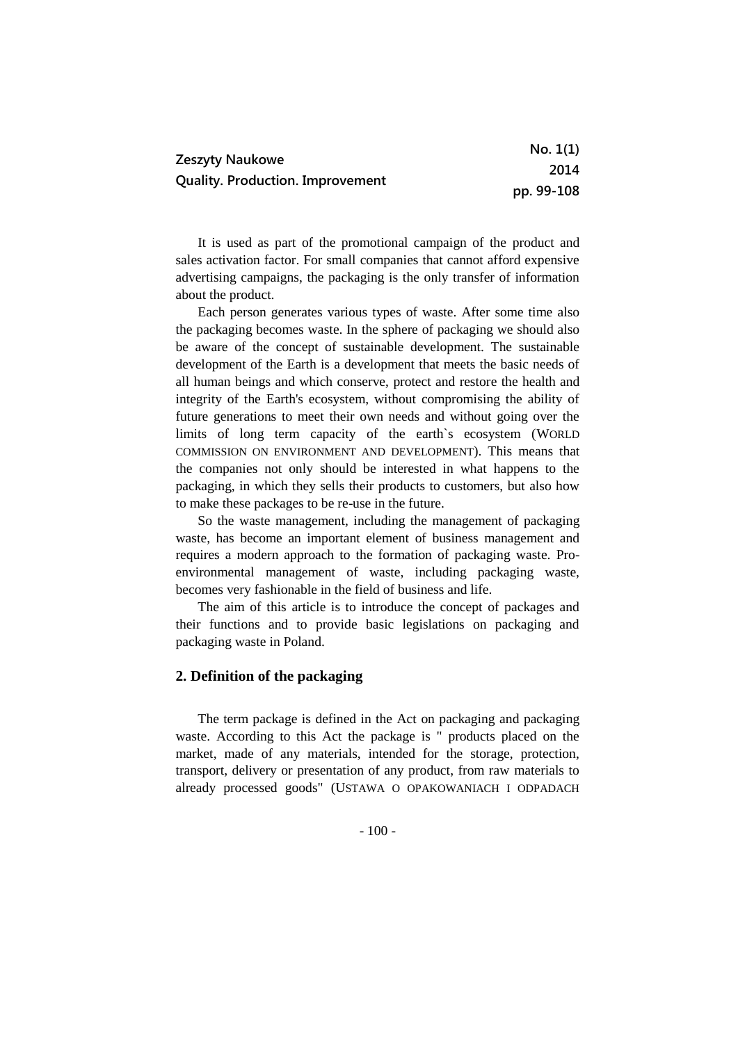| Zeszyty Naukowe<br><b>Quality. Production. Improvement</b> | No. 1(1)   |
|------------------------------------------------------------|------------|
|                                                            | 2014       |
|                                                            | pp. 99-108 |

It is used as part of the promotional campaign of the product and sales activation factor. For small companies that cannot afford expensive advertising campaigns, the packaging is the only transfer of information about the product.

Each person generates various types of waste. After some time also the packaging becomes waste. In the sphere of packaging we should also be aware of the concept of sustainable development. The sustainable development of the Earth is a development that meets the basic needs of all human beings and which conserve, protect and restore the health and integrity of the Earth's ecosystem, without compromising the ability of future generations to meet their own needs and without going over the limits of long term capacity of the earth`s ecosystem (WORLD COMMISSION ON ENVIRONMENT AND DEVELOPMENT). This means that the companies not only should be interested in what happens to the packaging, in which they sells their products to customers, but also how to make these packages to be re-use in the future.

So the waste management, including the management of packaging waste, has become an important element of business management and requires a modern approach to the formation of packaging waste. Proenvironmental management of waste, including packaging waste, becomes very fashionable in the field of business and life.

The aim of this article is to introduce the concept of packages and their functions and to provide basic legislations on packaging and packaging waste in Poland.

# **2. Definition of the packaging**

The term package is defined in the Act on packaging and packaging waste. According to this Act the package is " products placed on the market, made of any materials, intended for the storage, protection, transport, delivery or presentation of any product, from raw materials to already processed goods" (USTAWA O OPAKOWANIACH I ODPADACH

 $-100-$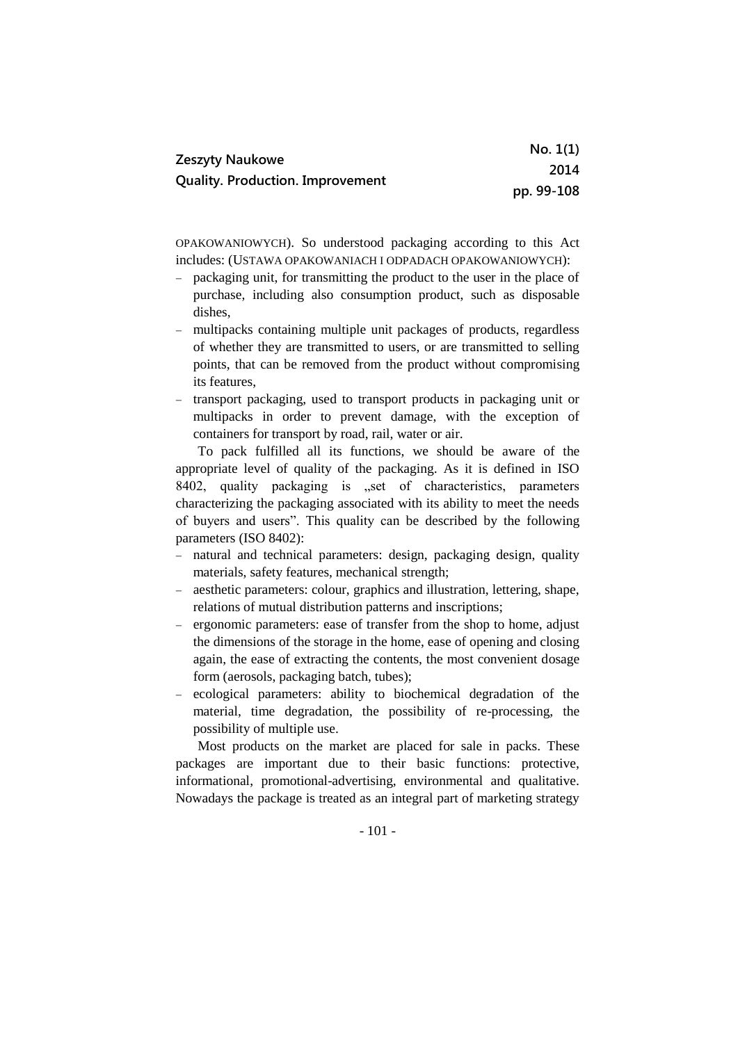| Zeszyty Naukowe                         | No. 1(1)   |
|-----------------------------------------|------------|
| <b>Quality. Production. Improvement</b> | 2014       |
|                                         | pp. 99-108 |

OPAKOWANIOWYCH). So understood packaging according to this Act includes: (USTAWA OPAKOWANIACH I ODPADACH OPAKOWANIOWYCH):

- packaging unit, for transmitting the product to the user in the place of purchase, including also consumption product, such as disposable dishes,
- multipacks containing multiple unit packages of products, regardless of whether they are transmitted to users, or are transmitted to selling points, that can be removed from the product without compromising its features,
- transport packaging, used to transport products in packaging unit or multipacks in order to prevent damage, with the exception of containers for transport by road, rail, water or air.

To pack fulfilled all its functions, we should be aware of the appropriate level of quality of the packaging. As it is defined in ISO 8402, quality packaging is "set of characteristics, parameters characterizing the packaging associated with its ability to meet the needs of buyers and users". This quality can be described by the following parameters (ISO 8402):

- natural and technical parameters: design, packaging design, quality materials, safety features, mechanical strength;
- aesthetic parameters: colour, graphics and illustration, lettering, shape, relations of mutual distribution patterns and inscriptions;
- ergonomic parameters: ease of transfer from the shop to home, adjust the dimensions of the storage in the home, ease of opening and closing again, the ease of extracting the contents, the most convenient dosage form (aerosols, packaging batch, tubes);
- ecological parameters: ability to biochemical degradation of the material, time degradation, the possibility of re-processing, the possibility of multiple use.

Most products on the market are placed for sale in packs. These packages are important due to their basic functions: protective, informational, promotional-advertising, environmental and qualitative. Nowadays the package is treated as an integral part of marketing strategy

- 101 -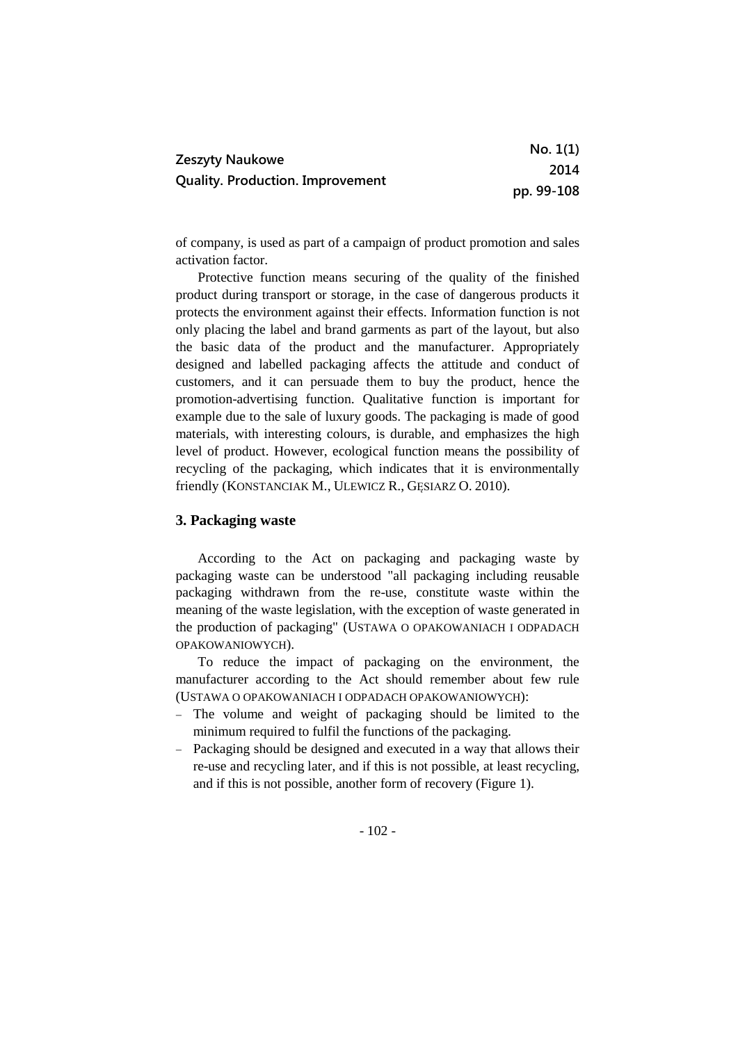|                                                            | No. 1(1)   |
|------------------------------------------------------------|------------|
| Zeszyty Naukowe<br><b>Quality. Production. Improvement</b> | 2014       |
|                                                            | pp. 99-108 |

of company, is used as part of a campaign of product promotion and sales activation factor.

Protective function means securing of the quality of the finished product during transport or storage, in the case of dangerous products it protects the environment against their effects. Information function is not only placing the label and brand garments as part of the layout, but also the basic data of the product and the manufacturer. Appropriately designed and labelled packaging affects the attitude and conduct of customers, and it can persuade them to buy the product, hence the promotion-advertising function. Qualitative function is important for example due to the sale of luxury goods. The packaging is made of good materials, with interesting colours, is durable, and emphasizes the high level of product. However, ecological function means the possibility of recycling of the packaging, which indicates that it is environmentally friendly (KONSTANCIAK M., ULEWICZ R., GESIARZ O. 2010).

## **3. Packaging waste**

According to the Act on packaging and packaging waste by packaging waste can be understood "all packaging including reusable packaging withdrawn from the re-use, constitute waste within the meaning of the waste legislation, with the exception of waste generated in the production of packaging" (USTAWA O OPAKOWANIACH I ODPADACH OPAKOWANIOWYCH).

To reduce the impact of packaging on the environment, the manufacturer according to the Act should remember about few rule (USTAWA O OPAKOWANIACH I ODPADACH OPAKOWANIOWYCH):

- The volume and weight of packaging should be limited to the minimum required to fulfil the functions of the packaging.
- Packaging should be designed and executed in a way that allows their re-use and recycling later, and if this is not possible, at least recycling, and if this is not possible, another form of recovery (Figure 1).

- 102 -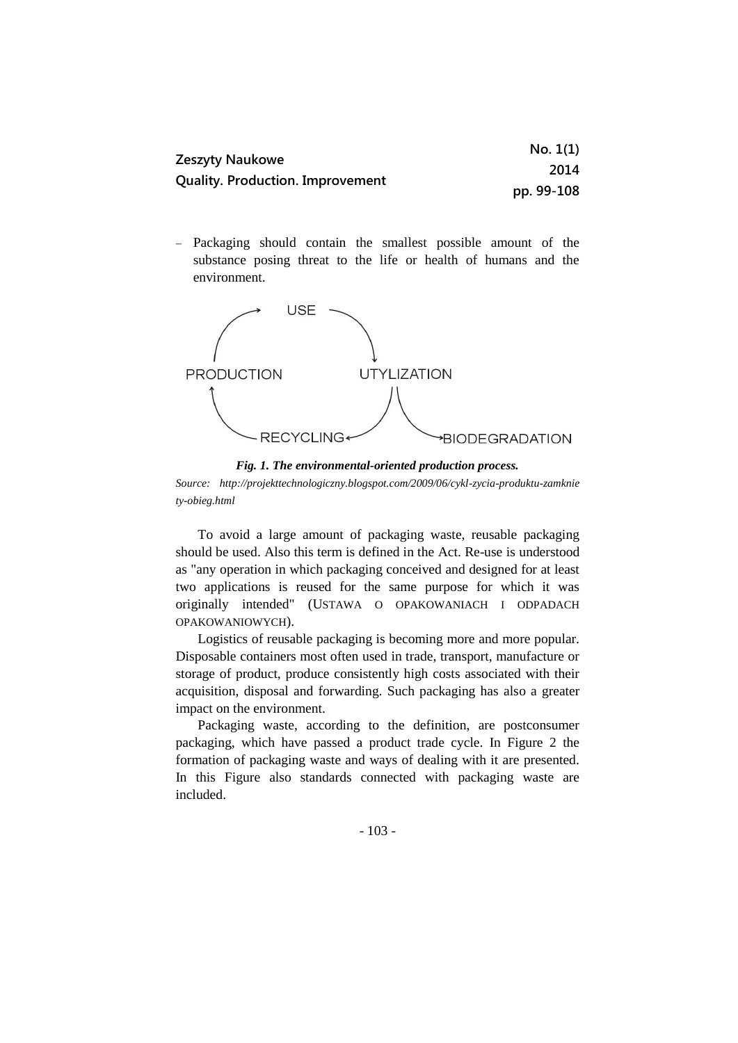| Zeszyty Naukowe<br><b>Quality. Production. Improvement</b> | No. 1(1)   |
|------------------------------------------------------------|------------|
|                                                            | 2014       |
|                                                            | pp. 99-108 |

 Packaging should contain the smallest possible amount of the substance posing threat to the life or health of humans and the environment.



*Fig. 1. The environmental-oriented production process.*

*Source: http://projekttechnologiczny.blogspot.com/2009/06/cykl-zycia-produktu-zamknie ty-obieg.html*

To avoid a large amount of packaging waste, reusable packaging should be used. Also this term is defined in the Act. Re-use is understood as "any operation in which packaging conceived and designed for at least two applications is reused for the same purpose for which it was originally intended" (USTAWA O OPAKOWANIACH I ODPADACH OPAKOWANIOWYCH).

Logistics of reusable packaging is becoming more and more popular. Disposable containers most often used in trade, transport, manufacture or storage of product, produce consistently high costs associated with their acquisition, disposal and forwarding. Such packaging has also a greater impact on the environment.

Packaging waste, according to the definition, are postconsumer packaging, which have passed a product trade cycle. In Figure 2 the formation of packaging waste and ways of dealing with it are presented. In this Figure also standards connected with packaging waste are included.

- 103 -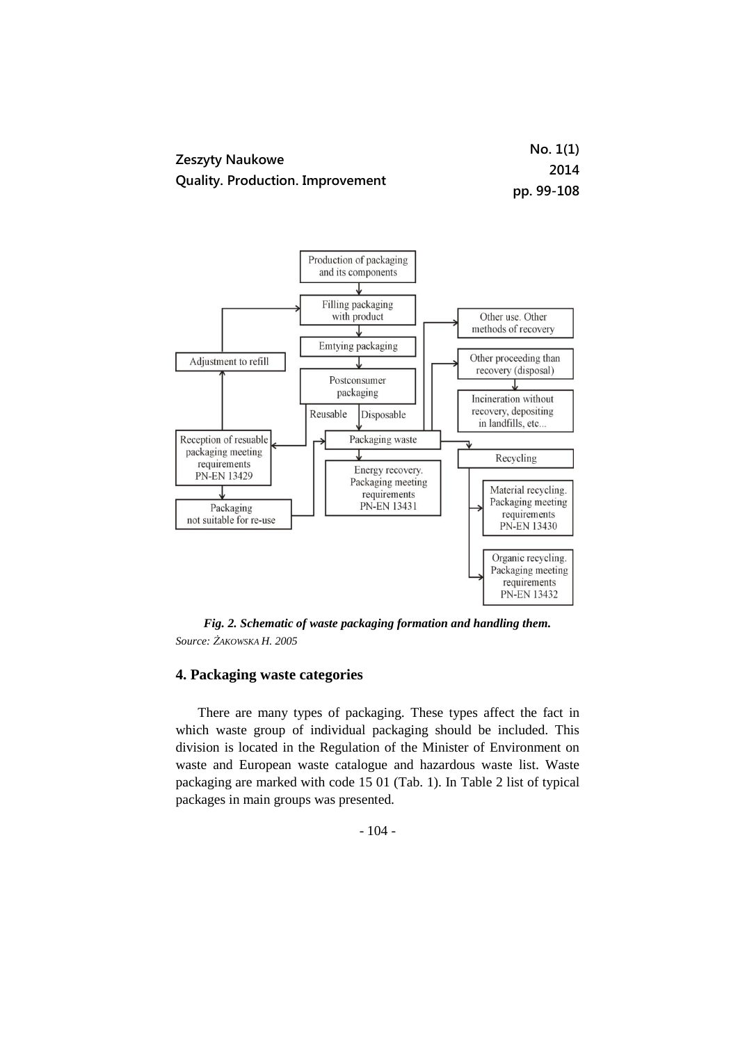|                                                            | No. 1(1)   |
|------------------------------------------------------------|------------|
| Zeszyty Naukowe<br><b>Quality. Production. Improvement</b> | 2014       |
|                                                            | pp. 99-108 |



*Fig. 2. Schematic of waste packaging formation and handling them. Source: ŻAKOWSKA H. 2005*

# **4. Packaging waste categories**

There are many types of packaging. These types affect the fact in which waste group of individual packaging should be included. This division is located in the Regulation of the Minister of Environment on waste and European waste catalogue and hazardous waste list. Waste packaging are marked with code 15 01 (Tab. 1). In Table 2 list of typical packages in main groups was presented.

- 104 -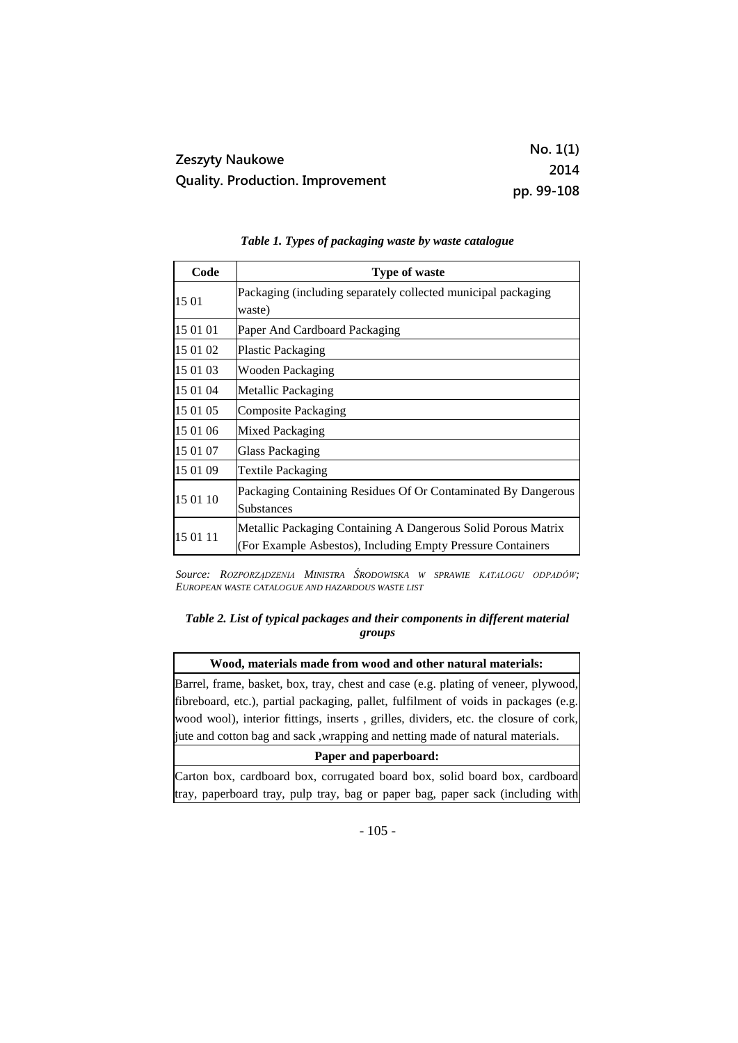| <b>Zeszyty Naukowe</b>                  | No. 1(1)   |
|-----------------------------------------|------------|
|                                         | 2014       |
| <b>Quality. Production. Improvement</b> | pp. 99-108 |

| Table 1. Types of packaging waste by waste catalogue |  |  |
|------------------------------------------------------|--|--|
|------------------------------------------------------|--|--|

| Code     | <b>Type of waste</b>                                                                                                         |
|----------|------------------------------------------------------------------------------------------------------------------------------|
| 15 01    | Packaging (including separately collected municipal packaging<br>waste)                                                      |
| 15 01 01 | Paper And Cardboard Packaging                                                                                                |
| 15 01 02 | <b>Plastic Packaging</b>                                                                                                     |
| 15 01 03 | Wooden Packaging                                                                                                             |
| 15 01 04 | Metallic Packaging                                                                                                           |
| 15 01 05 | Composite Packaging                                                                                                          |
| 15 01 06 | Mixed Packaging                                                                                                              |
| 15 01 07 | <b>Glass Packaging</b>                                                                                                       |
| 15 01 09 | Textile Packaging                                                                                                            |
| 15 01 10 | Packaging Containing Residues Of Or Contaminated By Dangerous<br>Substances                                                  |
| 15 01 11 | Metallic Packaging Containing A Dangerous Solid Porous Matrix<br>(For Example Asbestos), Including Empty Pressure Containers |

*Source: ROZPORZĄDZENIA MINISTRA ŚRODOWISKA W SPRAWIE KATALOGU ODPADÓW; EUROPEAN WASTE CATALOGUE AND HAZARDOUS WASTE LIST*

## *Table 2. List of typical packages and their components in different material groups*

### **Wood, materials made from wood and other natural materials:**

Barrel, frame, basket, box, tray, chest and case (e.g. plating of veneer, plywood, fibreboard, etc.), partial packaging, pallet, fulfilment of voids in packages (e.g. wood wool), interior fittings, inserts , grilles, dividers, etc. the closure of cork, jute and cotton bag and sack ,wrapping and netting made of natural materials.

#### **Paper and paperboard:**

Carton box, cardboard box, corrugated board box, solid board box, cardboard tray, paperboard tray, pulp tray, bag or paper bag, paper sack (including with

- 105 -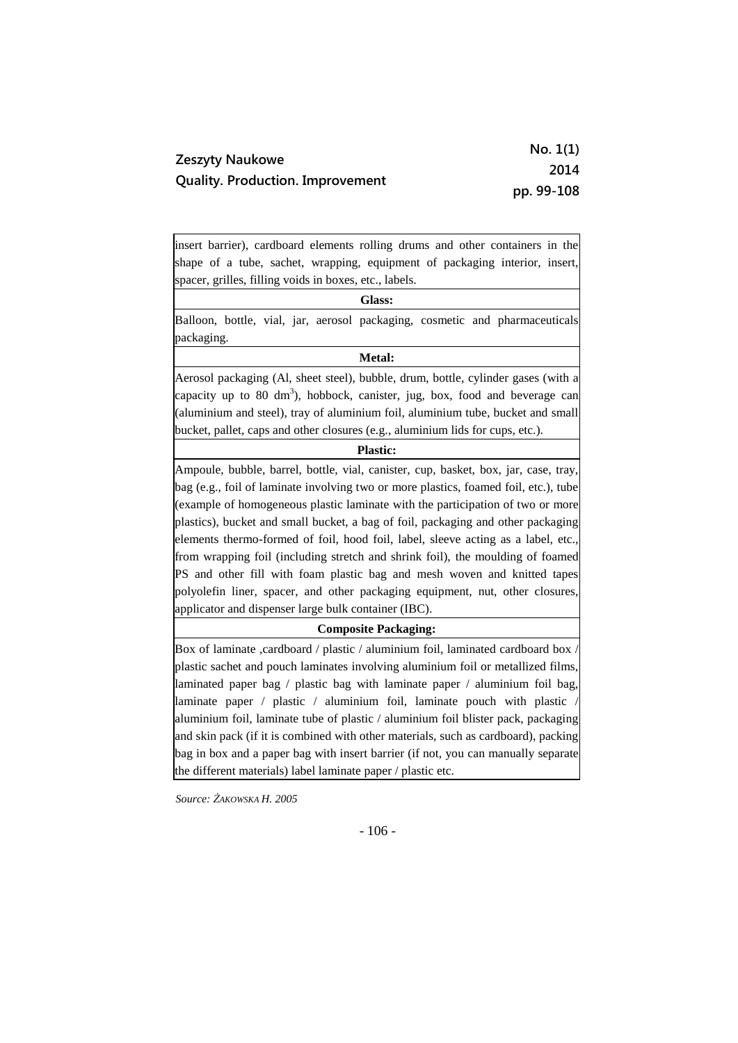|                                                            | No. 1(1)   |
|------------------------------------------------------------|------------|
| Zeszyty Naukowe<br><b>Quality. Production. Improvement</b> | 2014       |
|                                                            | pp. 99-108 |

insert barrier), cardboard elements rolling drums and other containers in the shape of a tube, sachet, wrapping, equipment of packaging interior, insert, spacer, grilles, filling voids in boxes, etc., labels.

**Glass:**

Balloon, bottle, vial, jar, aerosol packaging, cosmetic and pharmaceuticals packaging.

### **Metal:**

Aerosol packaging (Al, sheet steel), bubble, drum, bottle, cylinder gases (with a capacity up to 80  $\text{dm}^3$ ), hobbock, canister, jug, box, food and beverage can (aluminium and steel), tray of aluminium foil, aluminium tube, bucket and small bucket, pallet, caps and other closures (e.g., aluminium lids for cups, etc.).

#### **Plastic:**

Ampoule, bubble, barrel, bottle, vial, canister, cup, basket, box, jar, case, tray, bag (e.g., foil of laminate involving two or more plastics, foamed foil, etc.), tube (example of homogeneous plastic laminate with the participation of two or more plastics), bucket and small bucket, a bag of foil, packaging and other packaging elements thermo-formed of foil, hood foil, label, sleeve acting as a label, etc., from wrapping foil (including stretch and shrink foil), the moulding of foamed PS and other fill with foam plastic bag and mesh woven and knitted tapes polyolefin liner, spacer, and other packaging equipment, nut, other closures, applicator and dispenser large bulk container (IBC).

### **Composite Packaging:**

Box of laminate ,cardboard / plastic / aluminium foil, laminated cardboard box  $\lambda$ plastic sachet and pouch laminates involving aluminium foil or metallized films, laminated paper bag / plastic bag with laminate paper / aluminium foil bag, laminate paper / plastic / aluminium foil, laminate pouch with plastic / aluminium foil, laminate tube of plastic / aluminium foil blister pack, packaging and skin pack (if it is combined with other materials, such as cardboard), packing bag in box and a paper bag with insert barrier (if not, you can manually separate the different materials) label laminate paper / plastic etc.

*Source: ŻAKOWSKA H. 2005*

- 106 -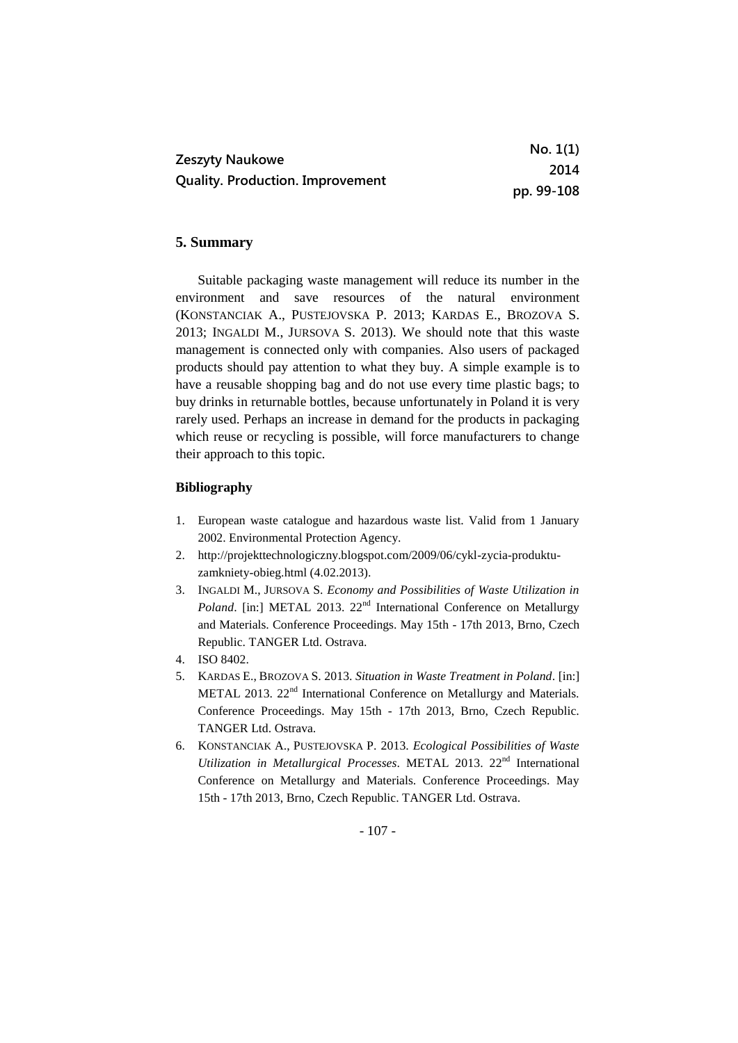|                                                            | No. 1(1)   |
|------------------------------------------------------------|------------|
| Zeszyty Naukowe<br><b>Quality. Production. Improvement</b> | 2014       |
|                                                            | pp. 99-108 |

# **5. Summary**

Suitable packaging waste management will reduce its number in the environment and save resources of the natural environment (KONSTANCIAK A., PUSTEJOVSKA P. 2013; KARDAS E., BROZOVA S. 2013; INGALDI M., JURSOVA S. 2013). We should note that this waste management is connected only with companies. Also users of packaged products should pay attention to what they buy. A simple example is to have a reusable shopping bag and do not use every time plastic bags; to buy drinks in returnable bottles, because unfortunately in Poland it is very rarely used. Perhaps an increase in demand for the products in packaging which reuse or recycling is possible, will force manufacturers to change their approach to this topic.

### **Bibliography**

- 1. European waste catalogue and hazardous waste list. Valid from 1 January 2002. Environmental Protection Agency.
- 2. http://projekttechnologiczny.blogspot.com/2009/06/cykl-zycia-produktuzamkniety-obieg.html (4.02.2013).
- 3. INGALDI M., JURSOVA S. *Economy and Possibilities of Waste Utilization in Poland*. [in:] METAL 2013. 22<sup>nd</sup> International Conference on Metallurgy and Materials. Conference Proceedings. May 15th - 17th 2013, Brno, Czech Republic. TANGER Ltd. Ostrava.
- 4. ISO 8402.
- 5. KARDAS E., BROZOVA S. 2013. *Situation in Waste Treatment in Poland*. [in:] METAL 2013. 22<sup>nd</sup> International Conference on Metallurgy and Materials. Conference Proceedings. May 15th - 17th 2013, Brno, Czech Republic. TANGER Ltd. Ostrava.
- 6. KONSTANCIAK A., PUSTEJOVSKA P. 2013. *Ecological Possibilities of Waste*  Utilization in Metallurgical Processes. METAL 2013. 22<sup>nd</sup> International Conference on Metallurgy and Materials. Conference Proceedings. May 15th - 17th 2013, Brno, Czech Republic. TANGER Ltd. Ostrava.

- 107 -